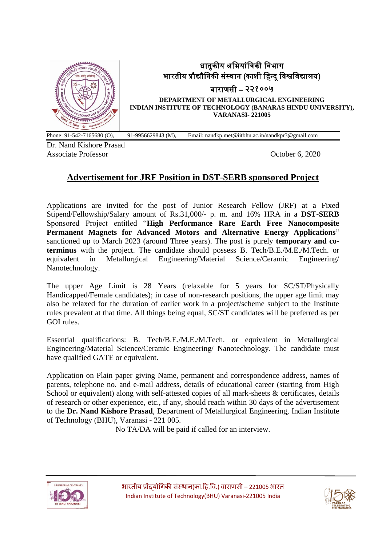

# धातुकीय अभियांत्रिकी विभाग भारतीय प्रौद्यौगिकी संस्थान (काशी हिन्दू विश्वविद्यालय)

िाराणसी – २२१००५

**DEPARTMENT OF METALLURGICAL ENGINEERING INDIAN INSTITUTE OF TECHNOLOGY (BANARAS HINDU UNIVERSITY), VARANASI- 221005**

Phone: 91-542-7165680 (O), 91-9956629843 (M), Email: nandkp.met@iitbhu.ac.in/nandkpr3@gmail.com

Dr. Nand Kishore Prasad Associate Professor **October 6, 2020** 

## **Advertisement for JRF Position in DST-SERB sponsored Project**

Applications are invited for the post of Junior Research Fellow (JRF) at a Fixed Stipend/Fellowship/Salary amount of Rs.31,000/- p. m. and 16% HRA in a **DST-SERB** Sponsored Project entitled "**High Performance Rare Earth Free Nanocomposite Permanent Magnets for Advanced Motors and Alternative Energy Applications**" sanctioned up to March 2023 (around Three years). The post is purely **temporary and coterminus** with the project. The candidate should possess B. Tech/B.E./M.E./M.Tech. or equivalent in Metallurgical Engineering/Material Science/Ceramic Engineering/ Nanotechnology.

The upper Age Limit is 28 Years (relaxable for 5 years for SC/ST/Physically Handicapped/Female candidates); in case of non-research positions, the upper age limit may also be relaxed for the duration of earlier work in a project/scheme subject to the Institute rules prevalent at that time. All things being equal, SC/ST candidates will be preferred as per GOI rules.

Essential qualifications: B. Tech/B.E./M.E./M.Tech. or equivalent in Metallurgical Engineering/Material Science/Ceramic Engineering/ Nanotechnology. The candidate must have qualified GATE or equivalent.

Application on Plain paper giving Name, permanent and correspondence address, names of parents, telephone no. and e-mail address, details of educational career (starting from High School or equivalent) along with self-attested copies of all mark-sheets & certificates, details of research or other experience, etc., if any, should reach within 30 days of the advertisement to the **Dr. Nand Kishore Prasad**, Department of Metallurgical Engineering, Indian Institute of Technology (BHU), Varanasi - 221 005.

No TA/DA will be paid if called for an interview.